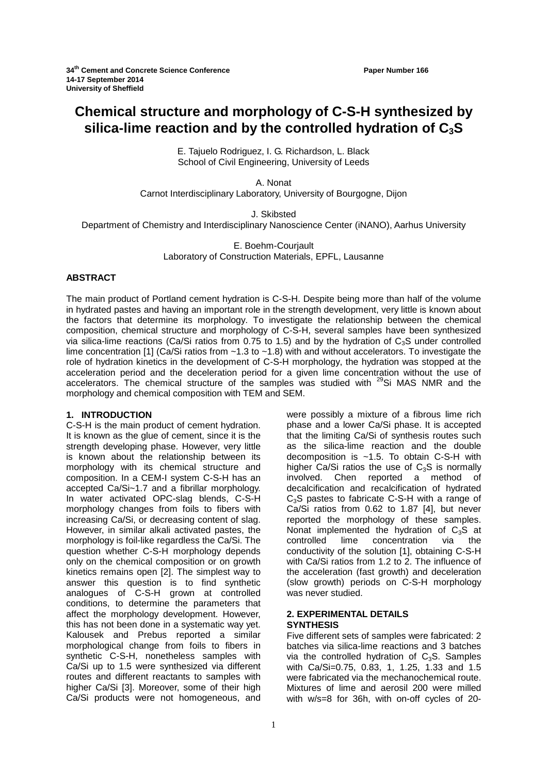# **Chemical structure and morphology of C-S-H synthesized by silica-lime reaction and by the controlled hydration of C3S**

E. Tajuelo Rodriguez, I. G. Richardson, L. Black School of Civil Engineering, University of Leeds

A. Nonat

Carnot Interdisciplinary Laboratory, University of Bourgogne, Dijon

J. Skibsted

Department of Chemistry and Interdisciplinary Nanoscience Center (iNANO), Aarhus University

E. Boehm-Courjault Laboratory of Construction Materials, EPFL, Lausanne

# **ABSTRACT**

The main product of Portland cement hydration is C-S-H. Despite being more than half of the volume in hydrated pastes and having an important role in the strength development, very little is known about the factors that determine its morphology. To investigate the relationship between the chemical composition, chemical structure and morphology of C-S-H, several samples have been synthesized via silica-lime reactions (Ca/Si ratios from 0.75 to 1.5) and by the hydration of  $C_3S$  under controlled lime concentration [1] (Ca/Si ratios from ~1.3 to ~1.8) with and without accelerators. To investigate the role of hydration kinetics in the development of C-S-H morphology, the hydration was stopped at the acceleration period and the deceleration period for a given lime concentration without the use of accelerators. The chemical structure of the samples was studied with  $29$ Si MAS NMR and the morphology and chemical composition with TEM and SEM.

### **1. INTRODUCTION**

C-S-H is the main product of cement hydration. It is known as the glue of cement, since it is the strength developing phase. However, very little is known about the relationship between its morphology with its chemical structure and composition. In a CEM-I system C-S-H has an accepted Ca/Si~1.7 and a fibrillar morphology. In water activated OPC-slag blends, C-S-H morphology changes from foils to fibers with increasing Ca/Si, or decreasing content of slag. However, in similar alkali activated pastes, the morphology is foil-like regardless the Ca/Si. The question whether C-S-H morphology depends only on the chemical composition or on growth kinetics remains open [2]. The simplest way to answer this question is to find synthetic analogues of C-S-H grown at controlled conditions, to determine the parameters that affect the morphology development. However, this has not been done in a systematic way yet. Kalousek and Prebus reported a similar morphological change from foils to fibers in synthetic C-S-H, nonetheless samples with Ca/Si up to 1.5 were synthesized via different routes and different reactants to samples with higher Ca/Si [3]. Moreover, some of their high Ca/Si products were not homogeneous, and

were possibly a mixture of a fibrous lime rich phase and a lower Ca/Si phase. It is accepted that the limiting Ca/Si of synthesis routes such as the silica-lime reaction and the double decomposition is ~1.5. To obtain C-S-H with higher Ca/Si ratios the use of  $C_3S$  is normally<br>involved. Chen reported a method of Chen reported a method decalcification and recalcification of hydrated C<sub>3</sub>S pastes to fabricate C-S-H with a range of Ca/Si ratios from 0.62 to 1.87 [4], but never reported the morphology of these samples. Nonat implemented the hydration of  $C_3S$  at controlled lime concentration via the concentration via the conductivity of the solution [1], obtaining C-S-H with Ca/Si ratios from 1.2 to 2. The influence of the acceleration (fast growth) and deceleration (slow growth) periods on C-S-H morphology was never studied.

# **2. EXPERIMENTAL DETAILS SYNTHESIS**

Five different sets of samples were fabricated: 2 batches via silica-lime reactions and 3 batches via the controlled hydration of  $C_3S$ . Samples with Ca/Si=0.75, 0.83, 1, 1.25, 1.33 and 1.5 were fabricated via the mechanochemical route. Mixtures of lime and aerosil 200 were milled with w/s=8 for 36h, with on-off cycles of 20-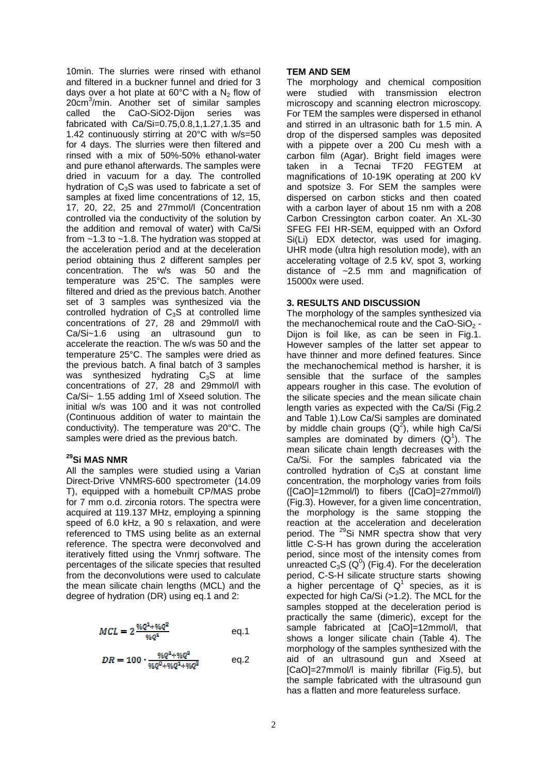10min. The slurries were rinsed with ethanol and filtered in a buckner funnel and dried for 3 days over a hot plate at  $60^{\circ}$ C with a N<sub>2</sub> flow of 20cm<sup>3</sup> /min. Another set of similar samples called the CaO-SiO2-Dijon series was fabricated with Ca/Si=0.75,0.8,1,1.27,1.35 and 1.42 continuously stirring at 20°C with w/s=50 for 4 days. The slurries were then filtered and rinsed with a mix of 50%-50% ethanol-water and pure ethanol afterwards. The samples were dried in vacuum for a day. The controlled hydration of  $C_3S$  was used to fabricate a set of samples at fixed lime concentrations of 12, 15, 17, 20, 22, 25 and 27mmol/l (Concentration controlled via the conductivity of the solution by the addition and removal of water) with Ca/Si from ~1.3 to ~1.8. The hydration was stopped at the acceleration period and at the deceleration period obtaining thus 2 different samples per concentration. The w/s was 50 and the temperature was 25°C. The samples were filtered and dried as the previous batch. Another set of 3 samples was synthesized via the controlled hydration of  $C_3S$  at controlled lime concentrations of 27, 28 and 29mmol/l with Ca/Si~1.6 using an ultrasound gun to accelerate the reaction. The w/s was 50 and the temperature 25°C. The samples were dried as the previous batch. A final batch of 3 samples was synthesized hydrating  $C_3S$  at lime concentrations of 27, 28 and 29mmol/l with Ca/Si~ 1.55 adding 1ml of Xseed solution. The initial w/s was 100 and it was not controlled (Continuous addition of water to maintain the conductivity). The temperature was 20°C. The samples were dried as the previous batch.

# **<sup>29</sup>Si MAS NMR**

All the samples were studied using a Varian Direct-Drive VNMRS-600 spectrometer (14.09 T), equipped with a homebuilt CP/MAS probe for 7 mm o.d. zirconia rotors. The spectra were acquired at 119.137 MHz, employing a spinning speed of 6.0 kHz, a 90 s relaxation, and were referenced to TMS using belite as an external reference. The spectra were deconvolved and iteratively fitted using the Vnmrj software. The percentages of the silicate species that resulted from the deconvolutions were used to calculate the mean silicate chain lengths (MCL) and the degree of hydration (DR) using eq.1 and 2:

$$
MCL = 2 \frac{\% \mathcal{Q}^4 + \% \mathcal{Q}^2}{\% \mathcal{Q}^4} \qquad \qquad \text{eq.1}
$$

$$
DR = 100 \cdot \frac{\%Q^2 + \%Q^2}{\%Q^0 + \%Q^2 + \%Q^2} \qquad \text{eq.2}
$$

# **TEM AND SEM**

The morphology and chemical composition were studied with transmission electron microscopy and scanning electron microscopy. For TEM the samples were dispersed in ethanol and stirred in an ultrasonic bath for 1.5 min. A drop of the dispersed samples was deposited with a pippete over a 200 Cu mesh with a carbon film (Agar). Bright field images were taken in a Tecnai TF20 FEGTEM at magnifications of 10-19K operating at 200 kV and spotsize 3. For SEM the samples were dispersed on carbon sticks and then coated with a carbon layer of about 15 nm with a 208 Carbon Cressington carbon coater. An XL-30 SFEG FEI HR-SEM, equipped with an Oxford Si(Li) EDX detector, was used for imaging. UHR mode (ultra high resolution mode), with an accelerating voltage of 2.5 kV, spot 3, working distance of ~2.5 mm and magnification of 15000x were used.

# **3. RESULTS AND DISCUSSION**

The morphology of the samples synthesized via the mechanochemical route and the CaO-SiO $_2$  -Dijon is foil like, as can be seen in Fig.1. However samples of the latter set appear to have thinner and more defined features. Since the mechanochemical method is harsher, it is sensible that the surface of the samples appears rougher in this case. The evolution of the silicate species and the mean silicate chain length varies as expected with the Ca/Si (Fig.2 and Table 1).Low Ca/Si samples are dominated by middle chain groups  $(Q^2)$ , while high Ca/Si samples are dominated by dimers  $(Q^1)$ . The mean silicate chain length decreases with the Ca/Si. For the samples fabricated via the controlled hydration of  $C_3S$  at constant lime concentration, the morphology varies from foils ([CaO]=12mmol/l) to fibers ([CaO]=27mmol/l) (Fig.3). However, for a given lime concentration, the morphology is the same stopping the reaction at the acceleration and deceleration period. The <sup>29</sup>Si NMR spectra show that very little C-S-H has grown during the acceleration period, since most of the intensity comes from unreacted  $C_3S$  (Q<sup>0</sup>) (Fig.4). For the deceleration period, C-S-H silicate structure starts showing a higher percentage of  $Q^1$  species, as it is expected for high Ca/Si (>1.2). The MCL for the samples stopped at the deceleration period is practically the same (dimeric), except for the sample fabricated at [CaO]=12mmol/l, that shows a longer silicate chain (Table 4). The morphology of the samples synthesized with the aid of an ultrasound gun and Xseed at [CaO]=27mmol/l is mainly fibrillar (Fig.5), but the sample fabricated with the ultrasound gun has a flatten and more featureless surface.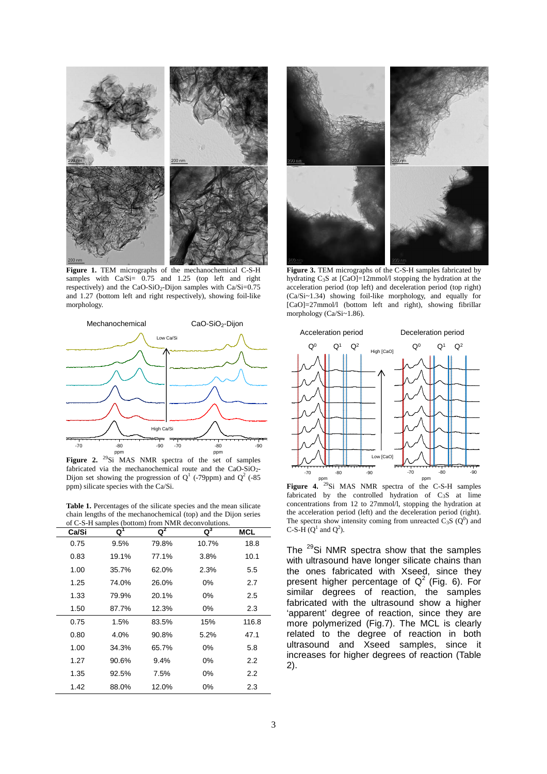

**Figure 1.** TEM micrographs of the mechanochemical C-S-H samples with  $Ca/Si = 0.75$  and 1.25 (top left and right respectively) and the CaO-SiO<sub>2</sub>-Dijon samples with Ca/Si=0.75 and 1.27 (bottom left and right respectively), showing foil-like morphology.



Figure 2. <sup>29</sup>Si MAS NMR spectra of the set of samples fabricated via the mechanochemical route and the CaO-SiO<sub>2</sub>-Dijon set showing the progression of  $Q<sup>1</sup>$  (-79ppm) and  $Q<sup>2</sup>$  (-85 ppm) silicate species with the Ca/Si.

**Table 1.** Percentages of the silicate species and the mean silicate chain lengths of the mechanochemical (top) and the Dijon series of C-S-H samples (bottom) from NMR deconvolutions.

| Ca/Si | Q     | Q <sup>2</sup> | of C-S-H samples (bottom) from iNVIK deconvolutions.<br>$\mathtt{Q}^3$ | MCL     |
|-------|-------|----------------|------------------------------------------------------------------------|---------|
| 0.75  | 9.5%  | 79.8%          | 10.7%                                                                  | 18.8    |
| 0.83  | 19.1% | 77.1%          | 3.8%                                                                   | 10.1    |
| 1.00  | 35.7% | 62.0%          | 2.3%                                                                   | $5.5\,$ |
| 1.25  | 74.0% | 26.0%          | 0%                                                                     | 2.7     |
| 1.33  | 79.9% | 20.1%          | 0%                                                                     | 2.5     |
| 1.50  | 87.7% | 12.3%          | 0%                                                                     | 2.3     |
| 0.75  | 1.5%  | 83.5%          | 15%                                                                    | 116.8   |
| 0.80  | 4.0%  | 90.8%          | 5.2%                                                                   | 47.1    |
| 1.00  | 34.3% | 65.7%          | 0%                                                                     | 5.8     |
| 1.27  | 90.6% | 9.4%           | 0%                                                                     | 2.2     |
| 1.35  | 92.5% | 7.5%           | 0%                                                                     | 2.2     |
| 1.42  | 88.0% | 12.0%          | 0%                                                                     | 2.3     |



**Figure 3.** TEM micrographs of the C-S-H samples fabricated by hydrating  $C_3S$  at  $[CaO]=12$ mmol/l stopping the hydration at the acceleration period (top left) and deceleration period (top right) (Ca/Si~1.34) showing foil-like morphology, and equally for [CaO]=27mmol/l (bottom left and right), showing fibrillar morphology (Ca/Si~1.86).



ppm **Figure 4.** <sup>29</sup>Si MAS NMR spectra of the C-S-H samples fabricated by the controlled hydration of C3S at lime concentrations from 12 to 27mmol/l, stopping the hydration at the acceleration period (left) and the deceleration period (right). The spectra show intensity coming from unreacted  $C_3S(Q^0)$  and C-S-H  $(Q^1 \text{ and } Q^2)$ .

The <sup>29</sup>Si NMR spectra show that the samples with ultrasound have longer silicate chains than the ones fabricated with Xseed, since they present higher percentage of  $Q^2$  (Fig. 6). For similar degrees of reaction, the samples fabricated with the ultrasound show a higher 'apparent' degree of reaction, since they are more polymerized (Fig.7). The MCL is clearly related to the degree of reaction in both ultrasound and Xseed samples, since it increases for higher degrees of reaction (Table 2).